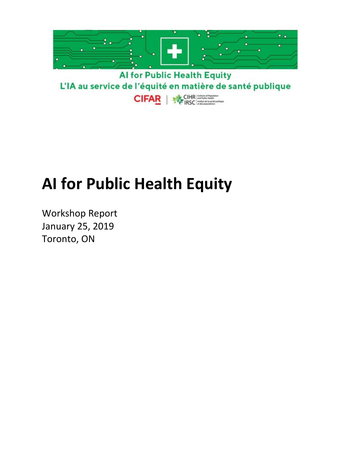

# **AI for Public Health Equity**

Workshop Report January 25, 2019 Toronto, ON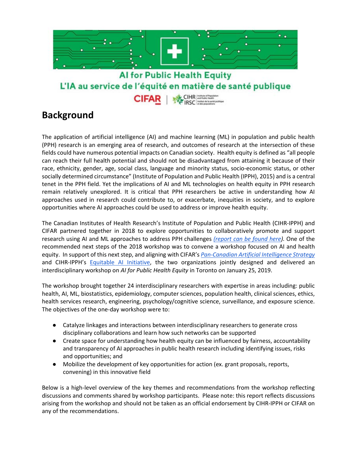

### **Background**

The application of artificial intelligence (AI) and machine learning (ML) in population and public health (PPH) research is an emerging area of research, and outcomes of research at the intersection of these fields could have numerous potential impacts on Canadian society. Health equity is defined as "all people can reach their full health potential and should not be disadvantaged from attaining it because of their race, ethnicity, gender, age, social class, language and minority status, socio-economic status, or other socially determined circumstance" (Institute of Population and Public Health (IPPH), 2015) and is a central tenet in the PPH field. Yet the implications of AI and ML technologies on health equity in PPH research remain relatively unexplored. It is critical that PPH researchers be active in understanding how AI approaches used in research could contribute to, or exacerbate, inequities in society, and to explore opportunities where AI approaches could be used to address or improve health equity.

The Canadian Institutes of Health Research's Institute of Population and Public Health (CIHR-IPPH) and CIFAR partnered together in 2018 to explore opportunities to collaboratively promote and support research using AI and ML approaches to address PPH challenges *[\(report can be found here\)](http://www.cihr-irsc.gc.ca/e/51018.html).* One of the recommended next steps of the 2018 workshop was to convene a workshop focused on AI and health equity. In support of this next step, and aligning wit[h CIFAR's](https://www.cifar.ca/ai/pan-canadian-artificial-intelligence-strategy) *[Pan-Canadian Artificial Intelligence Strategy](https://www.cifar.ca/ai/pan-canadian-artificial-intelligence-strategy)* and CIHR-IPPH's [Equitable AI Initiative,](http://www.cihr-irsc.gc.ca/e/51204.html) the two organizations jointly designed and delivered an interdisciplinary workshop on *AI for Public Health Equity* in Toronto on January 25, 2019.

The workshop brought together 24 interdisciplinary researchers with expertise in areas including: public health, AI, ML, biostatistics, epidemiology, computer sciences, population health, clinical sciences, ethics, health services research, engineering, psychology/cognitive science, surveillance, and exposure science. The objectives of the one-day workshop were to:

- Catalyze linkages and interactions between interdisciplinary researchers to generate cross disciplinary collaborations and learn how such networks can be supported
- Create space for understanding how health equity can be influenced by fairness, accountability and transparency of AI approaches in public health research including identifying issues, risks and opportunities; and
- Mobilize the development of key opportunities for action (ex. grant proposals, reports, convening) in this innovative field

Below is a high-level overview of the key themes and recommendations from the workshop reflecting discussions and comments shared by workshop participants. Please note: this report reflects discussions arising from the workshop and should not be taken as an official endorsement by CIHR-IPPH or CIFAR on any of the recommendations.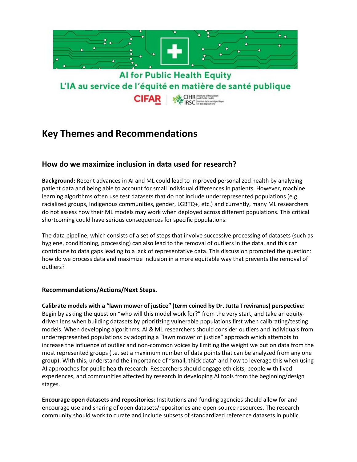

### **Key Themes and Recommendations**

### **How do we maximize inclusion in data used for research?**

**Background:** Recent advances in AI and ML could lead to improved personalized health by analyzing patient data and being able to account for small individual differences in patients. However, machine learning algorithms often use test datasets that do not include underrepresented populations (e.g. racialized groups, Indigenous communities, gender, LGBTQ+, etc.) and currently, many ML researchers do not assess how their ML models may work when deployed across different populations. This critical shortcoming could have serious consequences for specific populations.

The data pipeline, which consists of a set of steps that involve successive processing of datasets (such as hygiene, conditioning, processing) can also lead to the removal of outliers in the data, and this can contribute to data gaps leading to a lack of representative data. This discussion prompted the question: how do we process data and maximize inclusion in a more equitable way that prevents the removal of outliers?

#### **Recommendations/Actions/Next Steps.**

**Calibrate models with a "lawn mower of justice" (term coined by Dr. Jutta Treviranus) perspective**: Begin by asking the question "who will this model work for?" from the very start, and take an equitydriven lens when building datasets by prioritizing vulnerable populations first when calibrating/testing models. When developing algorithms, AI & ML researchers should consider outliers and individuals from underrepresented populations by adopting a "lawn mower of justice" approach which attempts to increase the influence of outlier and non-common voices by limiting the weight we put on data from the most represented groups (i.e. set a maximum number of data points that can be analyzed from any one group). With this, understand the importance of "small, thick data" and how to leverage this when using AI approaches for public health research. Researchers should engage ethicists, people with lived experiences, and communities affected by research in developing AI tools from the beginning/design stages.

**Encourage open datasets and repositories**: Institutions and funding agencies should allow for and encourage use and sharing of open datasets/repositories and open-source resources. The research community should work to curate and include subsets of standardized reference datasets in public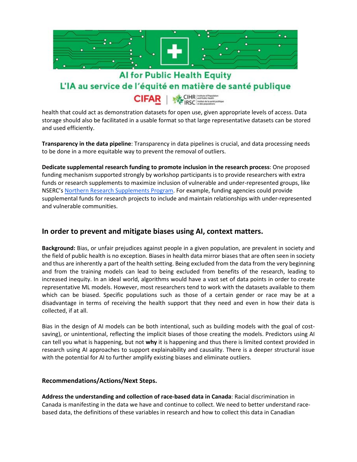

 health that could act as demonstration datasets for open use, given appropriate levels of access. Data storage should also be facilitated in a usable format so that large representative datasets can be stored and used efficiently.

**Transparency in the data pipeline**: Transparency in data pipelines is crucial, and data processing needs to be done in a more equitable way to prevent the removal of outliers.

**Dedicate supplemental research funding to promote inclusion in the research process**: One proposed funding mechanism supported strongly by workshop participants is to provide researchers with extra funds or research supplements to maximize inclusion of vulnerable and under-represented groups, like NSERC's [Northern Research Supplements Program.](http://www.nserc-crsng.gc.ca/Professors-Professeurs/Grants-Subs/DGNRS-SDSRN_eng.asp) For example, funding agencies could provide supplemental funds for research projects to include and maintain relationships with under-represented and vulnerable communities.

### **In order to prevent and mitigate biases using AI, context matters.**

**Background:** Bias, or unfair prejudices against people in a given population, are prevalent in society and the field of public health is no exception. Biases in health data mirror biases that are often seen in society and thus are inherently a part of the health setting. Being excluded from the data from the very beginning and from the training models can lead to being excluded from benefits of the research, leading to increased inequity. In an ideal world, algorithms would have a vast set of data points in order to create representative ML models. However, most researchers tend to work with the datasets available to them which can be biased. Specific populations such as those of a certain gender or race may be at a disadvantage in terms of receiving the health support that they need and even in how their data is collected, if at all.

Bias in the design of AI models can be both intentional, such as building models with the goal of costsaving), or unintentional, reflecting the implicit biases of those creating the models. Predictors using AI can tell you what is happening, but not **why** it is happening and thus there is limited context provided in research using AI approaches to support explainability and causality. There is a deeper structural issue with the potential for AI to further amplify existing biases and eliminate outliers.

#### **Recommendations/Actions/Next Steps.**

**Address the understanding and collection of race-based data in Canada**: Racial discrimination in Canada is manifesting in the data we have and continue to collect. We need to better understand racebased data, the definitions of these variables in research and how to collect this data in Canadian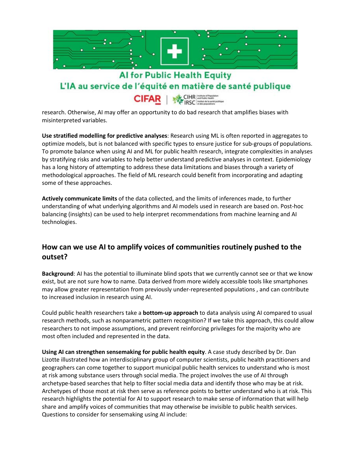

misinterpreted variables.

**Use stratified modelling for predictive analyses**: Research using ML is often reported in aggregates to optimize models, but is not balanced with specific types to ensure justice for sub-groups of populations. To promote balance when using AI and ML for public health research, integrate complexities in analyses by stratifying risks and variables to help better understand predictive analyses in context. Epidemiology has a long history of attempting to address these data limitations and biases through a variety of methodological approaches. The field of ML research could benefit from incorporating and adapting some of these approaches.

**Actively communicate limits** of the data collected, and the limits of inferences made, to further understanding of what underlying algorithms and AI models used in research are based on. Post-hoc balancing (insights) can be used to help interpret recommendations from machine learning and AI technologies.

### **How can we use AI to amplify voices of communities routinely pushed to the outset?**

**Background**: AI has the potential to illuminate blind spots that we currently cannot see or that we know exist, but are not sure how to name. Data derived from more widely accessible tools like smartphones may allow greater representation from previously under-represented populations , and can contribute to increased inclusion in research using AI.

Could public health researchers take a **bottom-up approach** to data analysis using AI compared to usual research methods, such as nonparametric pattern recognition? If we take this approach, this could allow researchers to not impose assumptions, and prevent reinforcing privileges for the majority who are most often included and represented in the data.

**Using AI can strengthen sensemaking for public health equity**. A case study described by Dr. Dan Lizotte illustrated how an interdisciplinary group of computer scientists, public health practitioners and geographers can come together to support municipal public health services to understand who is most at risk among substance users through social media. The project involves the use of AI through archetype-based searches that help to filter social media data and identify those who may be at risk. Archetypes of those most at risk then serve as reference points to better understand who is at risk. This research highlights the potential for AI to support research to make sense of information that will help share and amplify voices of communities that may otherwise be invisible to public health services. Questions to consider for sensemaking using AI include: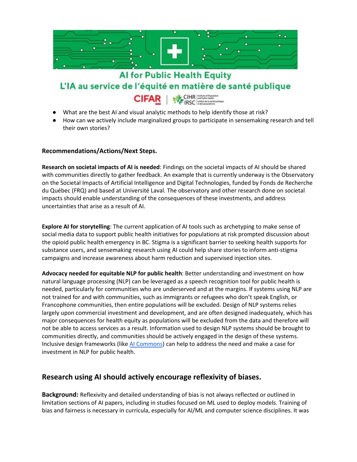

L'IA au service de l'équité en matière de santé publique

- CIHR Holland Property **CIFAR**
- What are the best AI and visual analytic methods to help identify those at risk?
- How can we actively include marginalized groups to participate in sensemaking research and tell their own stories?

### **Recommendations/Actions/Next Steps.**

**Research on societal impacts of AI is needed**: Findings on the societal impacts of AI should be shared with communities directly to gather feedback. An example that is currently underway is the Observatory on the Societal Impacts of Artificial Intelligence and Digital Technologies, funded by Fonds de Recherche du Québec (FRQ) and based at Université Laval. The observatory and other research done on societal impacts should enable understanding of the consequences of these investments, and address uncertainties that arise as a result of AI.

**Explore AI for storytelling**: The current application of AI tools such as archetyping to make sense of social media data to support public health initiatives for populations at risk prompted discussion about the opioid public health emergency in BC. Stigma is a significant barrier to seeking health supports for substance users, and sensemaking research using AI could help share stories to inform anti-stigma campaigns and increase awareness about harm reduction and supervised injection sites.

**Advocacy needed for equitable NLP for public health**: Better understanding and investment on how natural language processing (NLP) can be leveraged as a speech recognition tool for public health is needed, particularly for communities who are underserved and at the margins. If systems using NLP are not trained for and with communities, such as immigrants or refugees who don't speak English, or Francophone communities, then entire populations will be excluded. Design of NLP systems relies largely upon commercial investment and development, and are often designed inadequately, which has major consequences for health equity as populations will be excluded from the data and therefore will not be able to access services as a result. Information used to design NLP systems should be brought to communities directly, and communities should be actively engaged in the design of these systems. Inclusive design frameworks (like [AI Commons\)](https://www.aicommons.com/) can help to address the need and make a case for investment in NLP for public health.

### **Research using AI should actively encourage reflexivity of biases.**

**Background:** Reflexivity and detailed understanding of bias is not always reflected or outlined in limitation sections of AI papers, including in studies focused on ML used to deploy models. Training of bias and fairness is necessary in curricula, especially for AI/ML and computer science disciplines. It was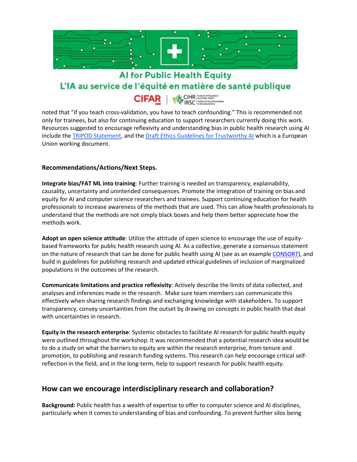

### L'IA au service de l'équité en matière de santé publique CIHR and Public Health **CIFAR**

 noted that "if you teach cross-validation, you have to teach confounding." This is recommended not only for trainees, but also for continuing education to support researchers currently doing this work. Resources suggested to encourage reflexivity and understanding bias in public health research using AI include the [TRIPOD Statement,](https://www.equator-network.org/reporting-guidelines/tripod-statement/) and the [Draft Ethics Guidelines for Trustworthy AI](https://ec.europa.eu/digital-single-market/en/news/draft-ethics-guidelines-trustworthy-ai) which is a European Union working document.

#### **Recommendations/Actions/Next Steps.**

**Integrate bias/FAT ML into training**: Further training is needed on transparency, explainability, causality, uncertainty and unintended consequences. Promote the integration of training on bias and equity for AI and computer science researchers and trainees. Support continuing education for health professionals to increase awareness of the methods that are used. This can allow health professionals to understand that the methods are not simply black boxes and help them better appreciate how the methods work.

**Adopt an open science attitude**: Utilize the attitude of open science to encourage the use of equitybased frameworks for public health research using AI. As a collective, generate a consensus statement on the nature of research that can be done for public health using AI (see as an exampl[e CONSORT\)](http://www.consort-statement.org/), and build in guidelines for publishing research and updated ethical guidelines of inclusion of marginalized populations in the outcomes of the research.

**Communicate limitations and practice reflexivity**: Actively describe the limits of data collected, and analyses and inferences made in the research. Make sure team members can communicate this effectively when sharing research findings and exchanging knowledge with stakeholders. To support transparency, convey uncertainties from the outset by drawing on concepts in public health that deal with uncertainties in research.

**Equity in the research enterprise**: Systemic obstacles to facilitate AI research for public health equity were outlined throughout the workshop. It was recommended that a potential research idea would be to do a study on what the barriers to equity are within the research enterprise, from tenure and promotion, to publishing and research funding systems. This research can help encourage critical selfreflection in the field, and in the long-term, help to support research for public health equity.

### **How can we encourage interdisciplinary research and collaboration?**

**Background:** Public health has a wealth of expertise to offer to computer science and AI disciplines, particularly when it comes to understanding of bias and confounding. To prevent further silos being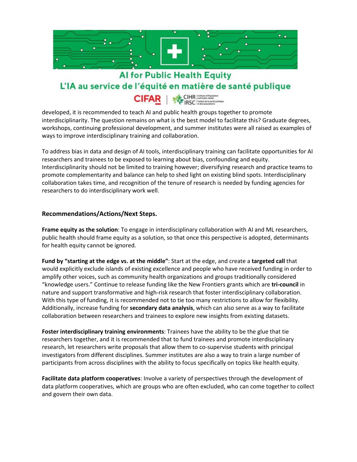

### L'IA au service de l'équité en matière de santé publique

CIHR and Public Health **CIFAR** 

 developed, it is recommended to teach AI and public health groups together to promote interdisciplinarity. The question remains on what is the best model to facilitate this? Graduate degrees, workshops, continuing professional development, and summer institutes were all raised as examples of ways to improve interdisciplinary training and collaboration.

To address bias in data and design of AI tools, interdisciplinary training can facilitate opportunities for AI researchers and trainees to be exposed to learning about bias, confounding and equity. Interdisciplinarity should not be limited to training however; diversifying research and practice teams to promote complementarity and balance can help to shed light on existing blind spots. Interdisciplinary collaboration takes time, and recognition of the tenure of research is needed by funding agencies for researchers to do interdisciplinary work well.

#### **Recommendations/Actions/Next Steps.**

**Frame equity as the solution**: To engage in interdisciplinary collaboration with AI and ML researchers, public health should frame equity as a solution, so that once this perspective is adopted, determinants for health equity cannot be ignored.

**Fund by "starting at the edge vs. at the middle"**: Start at the edge, and create a **targeted call** that would explicitly exclude islands of existing excellence and people who have received funding in order to amplify other voices, such as community health organizations and groups traditionally considered "knowledge users." Continue to release funding like the New Frontiers grants which are **tri-council** in nature and support transformative and high-risk research that foster interdisciplinary collaboration. With this type of funding, it is recommended not to tie too many restrictions to allow for flexibility. Additionally, increase funding for **secondary data analysis**, which can also serve as a way to facilitate collaboration between researchers and trainees to explore new insights from existing datasets.

**Foster interdisciplinary training environments**: Trainees have the ability to be the glue that tie researchers together, and it is recommended that to fund trainees and promote interdisciplinary research, let researchers write proposals that allow them to co-supervise students with principal investigators from different disciplines. Summer institutes are also a way to train a large number of participants from across disciplines with the ability to focus specifically on topics like health equity.

**Facilitate data platform cooperatives**: Involve a variety of perspectives through the development of data platform cooperatives, which are groups who are often excluded, who can come together to collect and govern their own data.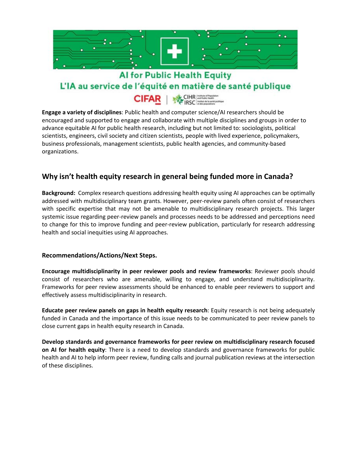

L'IA au service de l'équité en matière de santé publique

**CIFAR** 

**ENGLIFAR AND SOFT AT ALL STAR STAR SEE AT A VALUATE SHOULD AT A VALUATE SHOULD AT A VALUATE SHOULD AT A VALUATE SHOULD BE SHOULD BE SHOULD BE SHOULD BE SHOWN A VALUATE SHOULD BE SHOWN A VALUATE SHOWN AT A VALUATE SHOWN A** encouraged and supported to engage and collaborate with multiple disciplines and groups in order to advance equitable AI for public health research, including but not limited to: sociologists, political scientists, engineers, civil society and citizen scientists, people with lived experience, policymakers, business professionals, management scientists, public health agencies, and community-based organizations.

### **Why isn't health equity research in general being funded more in Canada?**

**Background:** Complex research questions addressing health equity using AI approaches can be optimally addressed with multidisciplinary team grants. However, peer-review panels often consist of researchers with specific expertise that may not be amenable to multidisciplinary research projects. This larger systemic issue regarding peer-review panels and processes needs to be addressed and perceptions need to change for this to improve funding and peer-review publication, particularly for research addressing health and social inequities using AI approaches.

#### **Recommendations/Actions/Next Steps.**

**Encourage multidisciplinarity in peer reviewer pools and review frameworks**: Reviewer pools should consist of researchers who are amenable, willing to engage, and understand multidisciplinarity. Frameworks for peer review assessments should be enhanced to enable peer reviewers to support and effectively assess multidisciplinarity in research.

**Educate peer review panels on gaps in health equity research**: Equity research is not being adequately funded in Canada and the importance of this issue needs to be communicated to peer review panels to close current gaps in health equity research in Canada.

**Develop standards and governance frameworks for peer review on multidisciplinary research focused on AI for health equity**: There is a need to develop standards and governance frameworks for public health and AI to help inform peer review, funding calls and journal publication reviews at the intersection of these disciplines.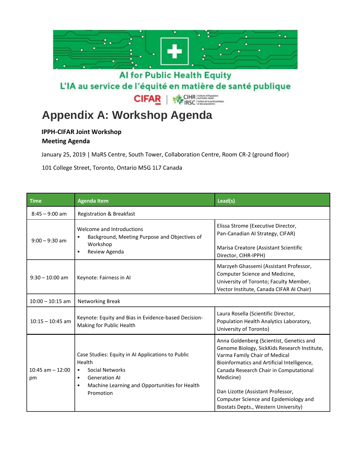

 $\begin{array}{rcl} \textbf{CIHR} & \text{intubin of Repustation} \\ \textbf{DSC} & \text{incothation} \\ \textbf{IRSC} & \text{of the population} \\ \end{array}$ **CIFAR** 

# **Appendix A: Workshop Agenda**

## **IPPH-CIFAR Joint Workshop**

**Meeting Agenda**

January 25, 2019 | MaRS Centre, South Tower, Collaboration Centre, Room CR-2 (ground floor)

101 College Street, Toronto, Ontario M5G 1L7 Canada

| <b>Time</b>                | <b>Agenda Item</b>                                                                                                                                                                                          | Lead(s)                                                                                                                                                                                                                                                                                                                                               |  |
|----------------------------|-------------------------------------------------------------------------------------------------------------------------------------------------------------------------------------------------------------|-------------------------------------------------------------------------------------------------------------------------------------------------------------------------------------------------------------------------------------------------------------------------------------------------------------------------------------------------------|--|
| $8:45 - 9:00$ am           | <b>Registration &amp; Breakfast</b>                                                                                                                                                                         |                                                                                                                                                                                                                                                                                                                                                       |  |
| $9:00 - 9:30$ am           | Welcome and Introductions<br>Background, Meeting Purpose and Objectives of<br>Workshop<br>Review Agenda<br>$\bullet$                                                                                        | Elissa Strome (Executive Director,<br>Pan-Canadian Al Strategy, CIFAR)<br>Marisa Creatore (Assistant Scientific<br>Director, CIHR-IPPH)                                                                                                                                                                                                               |  |
| $9:30 - 10:00$ am          | Keynote: Fairness in Al                                                                                                                                                                                     | Marzyeh Ghassemi (Assistant Professor,<br>Computer Science and Medicine,<br>University of Toronto; Faculty Member,<br>Vector Institute, Canada CIFAR AI Chair)                                                                                                                                                                                        |  |
| $10:00 - 10:15$ am         | Networking Break                                                                                                                                                                                            |                                                                                                                                                                                                                                                                                                                                                       |  |
| $10:15 - 10:45$ am         | Keynote: Equity and Bias in Evidence-based Decision-<br>Making for Public Health                                                                                                                            | Laura Rosella (Scientific Director,<br>Population Health Analytics Laboratory,<br>University of Toronto)                                                                                                                                                                                                                                              |  |
| $10:45$ am $- 12:00$<br>pm | Case Studies: Equity in AI Applications to Public<br>Health<br>Social Networks<br>$\bullet$<br><b>Generation AI</b><br>$\bullet$<br>Machine Learning and Opportunities for Health<br>$\bullet$<br>Promotion | Anna Goldenberg (Scientist, Genetics and<br>Genome Biology, SickKids Research Institute,<br>Varma Family Chair of Medical<br>Bioinformatics and Artificial Intelligence,<br>Canada Research Chair in Computational<br>Medicine)<br>Dan Lizotte (Assistant Professor,<br>Computer Science and Epidemiology and<br>Biostats Depts., Western University) |  |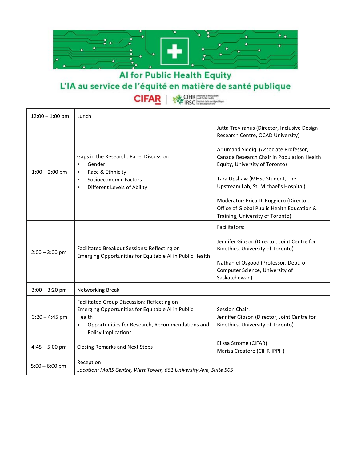

| <b>CIFAR</b> |  | CIHR and Public Health<br><b>DE IRSC</b> Institut de la santé publique |
|--------------|--|------------------------------------------------------------------------|
|--------------|--|------------------------------------------------------------------------|

| $12:00 - 1:00$ pm | Lunch                                                                                                                                                                                                    |                                                                                                                                                                                                                                                                                                                                                                                                                     |  |
|-------------------|----------------------------------------------------------------------------------------------------------------------------------------------------------------------------------------------------------|---------------------------------------------------------------------------------------------------------------------------------------------------------------------------------------------------------------------------------------------------------------------------------------------------------------------------------------------------------------------------------------------------------------------|--|
| $1:00 - 2:00$ pm  | Gaps in the Research: Panel Discussion<br>Gender<br>$\bullet$<br>Race & Ethnicity<br>$\bullet$<br>Socioeconomic Factors<br>$\bullet$<br>Different Levels of Ability<br>$\bullet$                         | Jutta Treviranus (Director, Inclusive Design<br>Research Centre, OCAD University)<br>Arjumand Siddiqi (Associate Professor,<br>Canada Research Chair in Population Health<br>Equity, University of Toronto)<br>Tara Upshaw (MHSc Student, The<br>Upstream Lab, St. Michael's Hospital)<br>Moderator: Erica Di Ruggiero (Director,<br>Office of Global Public Health Education &<br>Training, University of Toronto) |  |
| $2:00 - 3:00$ pm  | Facilitated Breakout Sessions: Reflecting on<br>Emerging Opportunities for Equitable AI in Public Health                                                                                                 | Facilitators:<br>Jennifer Gibson (Director, Joint Centre for<br>Bioethics, University of Toronto)<br>Nathaniel Osgood (Professor, Dept. of<br>Computer Science, University of<br>Saskatchewan)                                                                                                                                                                                                                      |  |
| $3:00 - 3:20$ pm  | Networking Break                                                                                                                                                                                         |                                                                                                                                                                                                                                                                                                                                                                                                                     |  |
| $3:20 - 4:45$ pm  | Facilitated Group Discussion: Reflecting on<br>Emerging Opportunities for Equitable AI in Public<br>Health<br>Opportunities for Research, Recommendations and<br>$\bullet$<br><b>Policy Implications</b> | Session Chair:<br>Jennifer Gibson (Director, Joint Centre for<br>Bioethics, University of Toronto)                                                                                                                                                                                                                                                                                                                  |  |
| $4:45 - 5:00$ pm  | <b>Closing Remarks and Next Steps</b>                                                                                                                                                                    | Elissa Strome (CIFAR)<br>Marisa Creatore (CIHR-IPPH)                                                                                                                                                                                                                                                                                                                                                                |  |
| $5:00 - 6:00$ pm  | Reception<br>Location: MaRS Centre, West Tower, 661 University Ave, Suite 505                                                                                                                            |                                                                                                                                                                                                                                                                                                                                                                                                                     |  |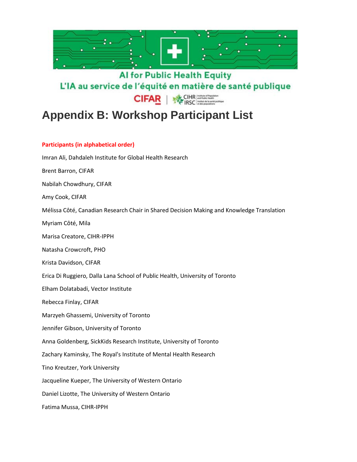

**CIFAR SE IRSC EXECUTED** 

# **Appendix B: Workshop Participant List**

### **Participants (in alphabetical order)**

| Imran Ali, Dahdaleh Institute for Global Health Research                                  |
|-------------------------------------------------------------------------------------------|
| <b>Brent Barron, CIFAR</b>                                                                |
| Nabilah Chowdhury, CIFAR                                                                  |
| Amy Cook, CIFAR                                                                           |
| Mélissa Côté, Canadian Research Chair in Shared Decision Making and Knowledge Translation |
| Myriam Côté, Mila                                                                         |
| Marisa Creatore, CIHR-IPPH                                                                |
| Natasha Crowcroft, PHO                                                                    |
| Krista Davidson, CIFAR                                                                    |
| Erica Di Ruggiero, Dalla Lana School of Public Health, University of Toronto              |
| Elham Dolatabadi, Vector Institute                                                        |
| Rebecca Finlay, CIFAR                                                                     |
| Marzyeh Ghassemi, University of Toronto                                                   |
| Jennifer Gibson, University of Toronto                                                    |
| Anna Goldenberg, SickKids Research Institute, University of Toronto                       |
| Zachary Kaminsky, The Royal's Institute of Mental Health Research                         |
| Tino Kreutzer, York University                                                            |
| Jacqueline Kueper, The University of Western Ontario                                      |
| Daniel Lizotte, The University of Western Ontario                                         |
| Fatima Mussa, CIHR-IPPH                                                                   |